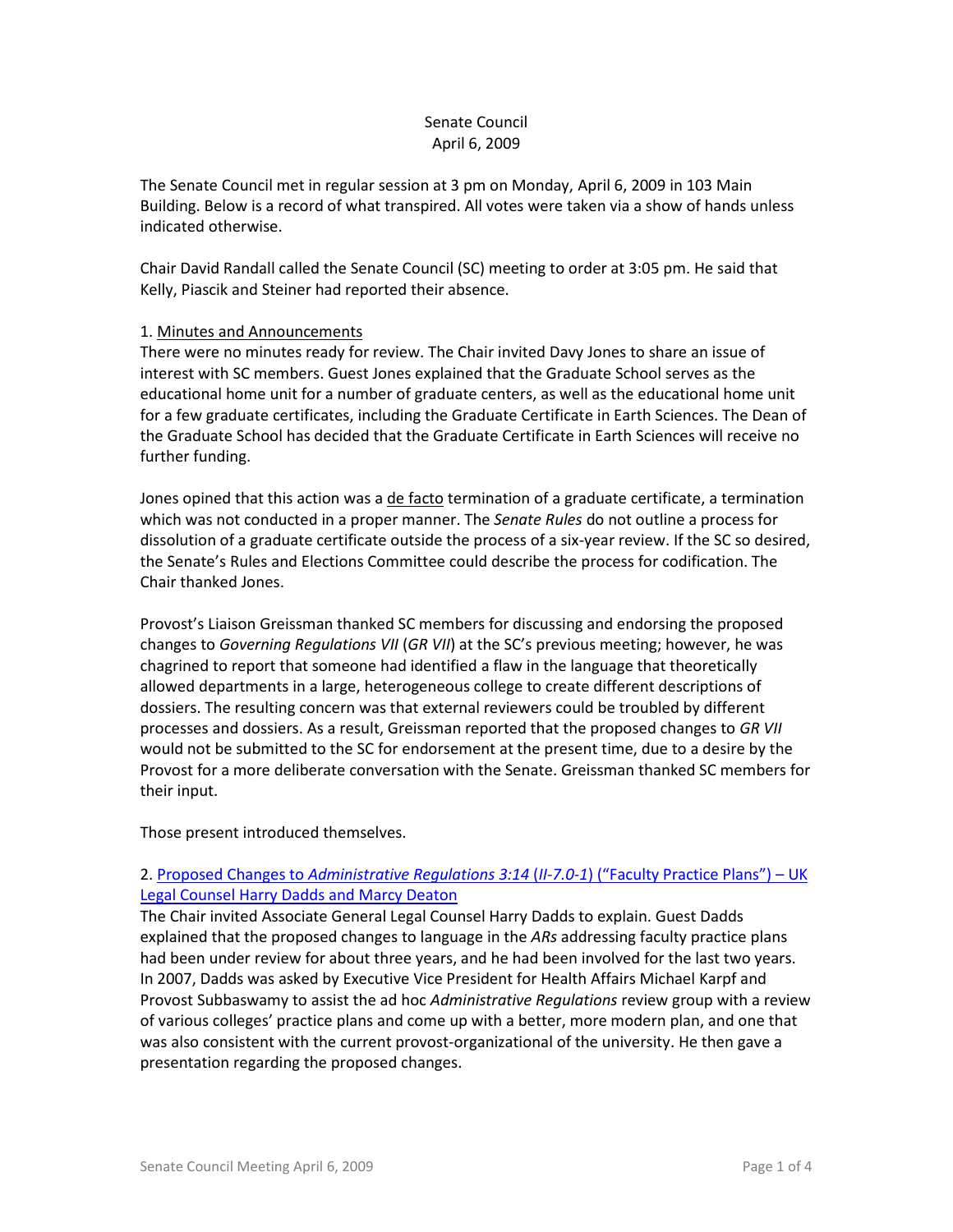# Senate Council April 6, 2009

The Senate Council met in regular session at 3 pm on Monday, April 6, 2009 in 103 Main Building. Below is a record of what transpired. All votes were taken via a show of hands unless indicated otherwise.

Chair David Randall called the Senate Council (SC) meeting to order at 3:05 pm. He said that Kelly, Piascik and Steiner had reported their absence.

# 1. Minutes and Announcements

There were no minutes ready for review. The Chair invited Davy Jones to share an issue of interest with SC members. Guest Jones explained that the Graduate School serves as the educational home unit for a number of graduate centers, as well as the educational home unit for a few graduate certificates, including the Graduate Certificate in Earth Sciences. The Dean of the Graduate School has decided that the Graduate Certificate in Earth Sciences will receive no further funding.

Jones opined that this action was a de facto termination of a graduate certificate, a termination which was not conducted in a proper manner. The *Senate Rules* do not outline a process for dissolution of a graduate certificate outside the process of a six-year review. If the SC so desired, the Senate's Rules and Elections Committee could describe the process for codification. The Chair thanked Jones.

Provost's Liaison Greissman thanked SC members for discussing and endorsing the proposed changes to *Governing Regulations VII* (*GR VII*) at the SC's previous meeting; however, he was chagrined to report that someone had identified a flaw in the language that theoretically allowed departments in a large, heterogeneous college to create different descriptions of dossiers. The resulting concern was that external reviewers could be troubled by different processes and dossiers. As a result, Greissman reported that the proposed changes to *GR VII* would not be submitted to the SC for endorsement at the present time, due to a desire by the Provost for a more deliberate conversation with the Senate. Greissman thanked SC members for their input.

Those present introduced themselves.

# 2. Proposed Changes to *[Administrative Regulations 3:14](http://www.uky.edu/USC/New/files/AR%20II-7_0-1%20(3-14)%20Fac%20Prac%20Plan_Complete.pdf)* (*II-7.0-1*) ("Faculty Practice Plans") – UK [Legal Counsel Harry Dadds and Marcy Deaton](http://www.uky.edu/USC/New/files/AR%20II-7_0-1%20(3-14)%20Fac%20Prac%20Plan_Complete.pdf)

The Chair invited Associate General Legal Counsel Harry Dadds to explain. Guest Dadds explained that the proposed changes to language in the *ARs* addressing faculty practice plans had been under review for about three years, and he had been involved for the last two years. In 2007, Dadds was asked by Executive Vice President for Health Affairs Michael Karpf and Provost Subbaswamy to assist the ad hoc *Administrative Regulations* review group with a review of various colleges' practice plans and come up with a better, more modern plan, and one that was also consistent with the current provost-organizational of the university. He then gave a presentation regarding the proposed changes.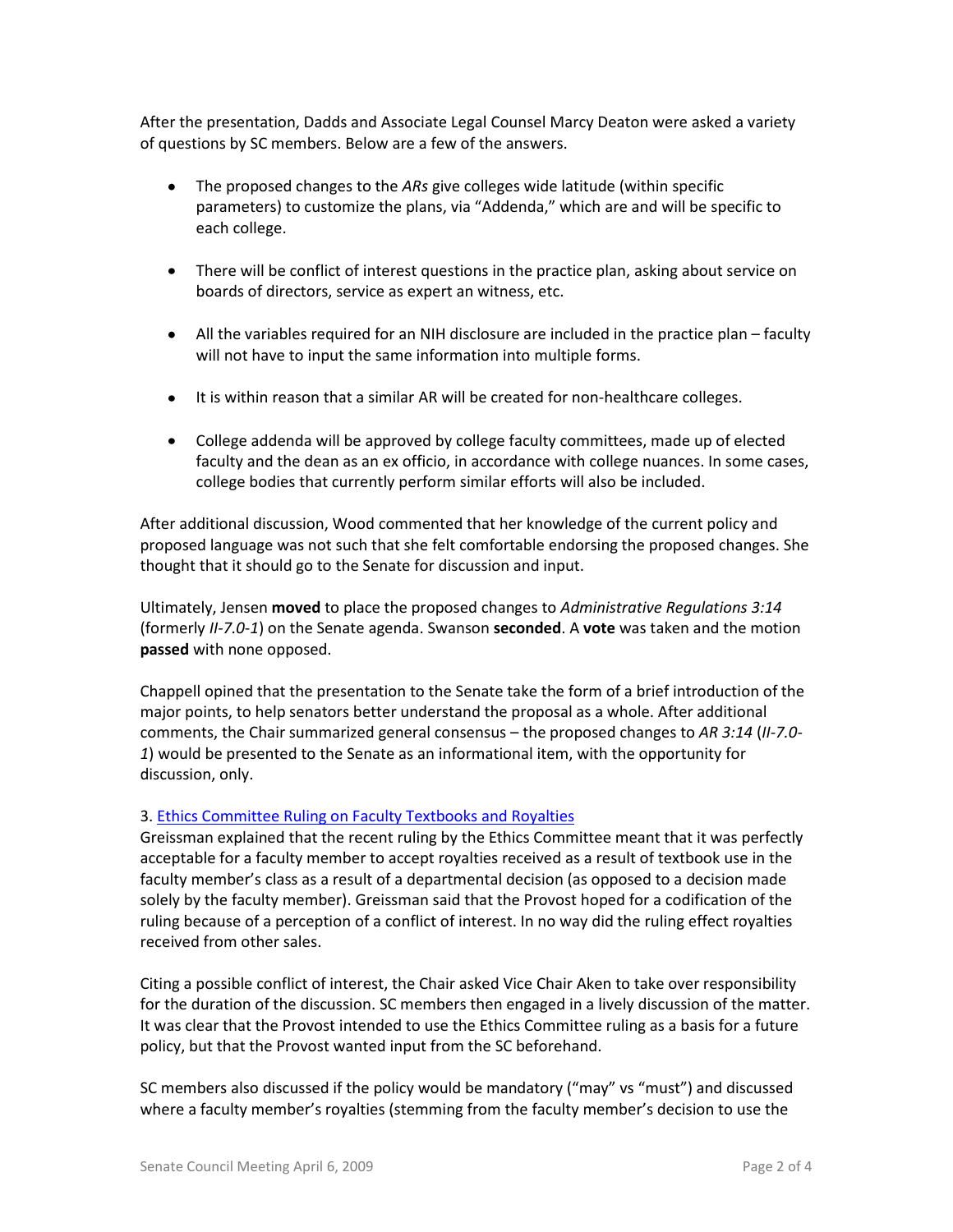After the presentation, Dadds and Associate Legal Counsel Marcy Deaton were asked a variety of questions by SC members. Below are a few of the answers.

- The proposed changes to the *ARs* give colleges wide latitude (within specific parameters) to customize the plans, via "Addenda," which are and will be specific to each college.
- There will be conflict of interest questions in the practice plan, asking about service on boards of directors, service as expert an witness, etc.
- All the variables required for an NIH disclosure are included in the practice plan faculty will not have to input the same information into multiple forms.
- It is within reason that a similar AR will be created for non-healthcare colleges.
- College addenda will be approved by college faculty committees, made up of elected faculty and the dean as an ex officio, in accordance with college nuances. In some cases, college bodies that currently perform similar efforts will also be included.

After additional discussion, Wood commented that her knowledge of the current policy and proposed language was not such that she felt comfortable endorsing the proposed changes. She thought that it should go to the Senate for discussion and input.

Ultimately, Jensen **moved** to place the proposed changes to *Administrative Regulations 3:14* (formerly *II-7.0-1*) on the Senate agenda. Swanson **seconded**. A **vote** was taken and the motion **passed** with none opposed.

Chappell opined that the presentation to the Senate take the form of a brief introduction of the major points, to help senators better understand the proposal as a whole. After additional comments, the Chair summarized general consensus – the proposed changes to *AR 3:14* (*II-7.0- 1*) would be presented to the Senate as an informational item, with the opportunity for discussion, only.

# 3. [Ethics Committee Ruling on Faculty Textbooks and Royalties](http://www.uky.edu/USC/New/files/Textbook%20ethics%20statement%2002%2009_Complete.pdf)

Greissman explained that the recent ruling by the Ethics Committee meant that it was perfectly acceptable for a faculty member to accept royalties received as a result of textbook use in the faculty member's class as a result of a departmental decision (as opposed to a decision made solely by the faculty member). Greissman said that the Provost hoped for a codification of the ruling because of a perception of a conflict of interest. In no way did the ruling effect royalties received from other sales.

Citing a possible conflict of interest, the Chair asked Vice Chair Aken to take over responsibility for the duration of the discussion. SC members then engaged in a lively discussion of the matter. It was clear that the Provost intended to use the Ethics Committee ruling as a basis for a future policy, but that the Provost wanted input from the SC beforehand.

SC members also discussed if the policy would be mandatory ("may" vs "must") and discussed where a faculty member's royalties (stemming from the faculty member's decision to use the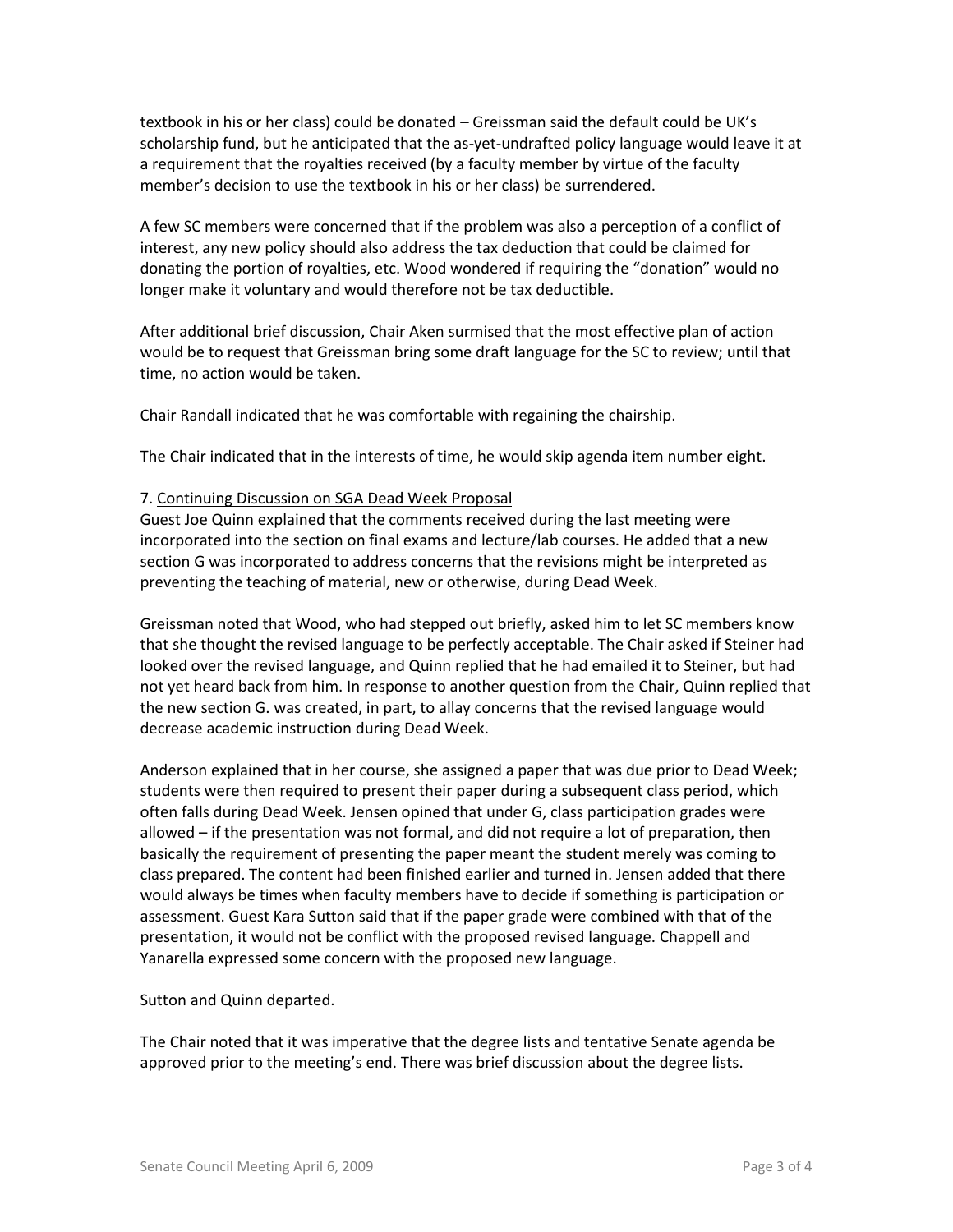textbook in his or her class) could be donated – Greissman said the default could be UK's scholarship fund, but he anticipated that the as-yet-undrafted policy language would leave it at a requirement that the royalties received (by a faculty member by virtue of the faculty member's decision to use the textbook in his or her class) be surrendered.

A few SC members were concerned that if the problem was also a perception of a conflict of interest, any new policy should also address the tax deduction that could be claimed for donating the portion of royalties, etc. Wood wondered if requiring the "donation" would no longer make it voluntary and would therefore not be tax deductible.

After additional brief discussion, Chair Aken surmised that the most effective plan of action would be to request that Greissman bring some draft language for the SC to review; until that time, no action would be taken.

Chair Randall indicated that he was comfortable with regaining the chairship.

The Chair indicated that in the interests of time, he would skip agenda item number eight.

#### 7. Continuing Discussion on SGA Dead Week Proposal

Guest Joe Quinn explained that the comments received during the last meeting were incorporated into the section on final exams and lecture/lab courses. He added that a new section G was incorporated to address concerns that the revisions might be interpreted as preventing the teaching of material, new or otherwise, during Dead Week.

Greissman noted that Wood, who had stepped out briefly, asked him to let SC members know that she thought the revised language to be perfectly acceptable. The Chair asked if Steiner had looked over the revised language, and Quinn replied that he had emailed it to Steiner, but had not yet heard back from him. In response to another question from the Chair, Quinn replied that the new section G. was created, in part, to allay concerns that the revised language would decrease academic instruction during Dead Week.

Anderson explained that in her course, she assigned a paper that was due prior to Dead Week; students were then required to present their paper during a subsequent class period, which often falls during Dead Week. Jensen opined that under G, class participation grades were allowed – if the presentation was not formal, and did not require a lot of preparation, then basically the requirement of presenting the paper meant the student merely was coming to class prepared. The content had been finished earlier and turned in. Jensen added that there would always be times when faculty members have to decide if something is participation or assessment. Guest Kara Sutton said that if the paper grade were combined with that of the presentation, it would not be conflict with the proposed revised language. Chappell and Yanarella expressed some concern with the proposed new language.

Sutton and Quinn departed.

The Chair noted that it was imperative that the degree lists and tentative Senate agenda be approved prior to the meeting's end. There was brief discussion about the degree lists.